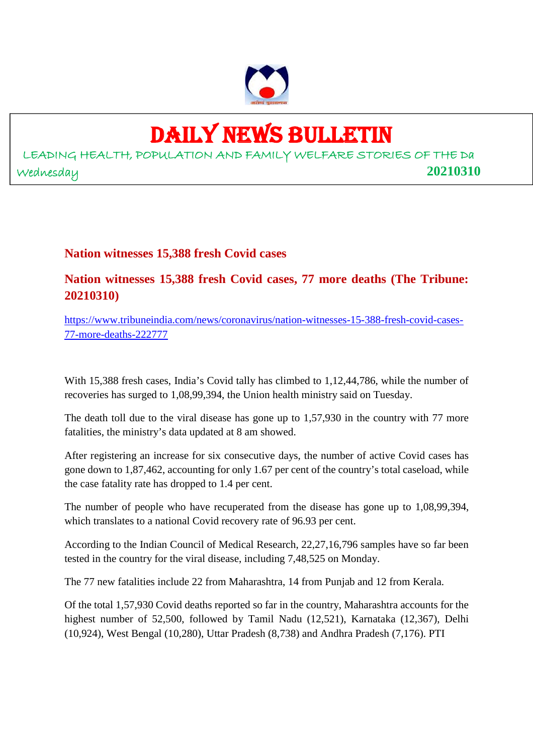

## DAILY NEWS BULLETIN

LEADING HEALTH, POPULATION AND FAMILY WELFARE STORIES OF THE Da Wednesday **20210310**

#### **Nation witnesses 15,388 fresh Covid cases**

**Nation witnesses 15,388 fresh Covid cases, 77 more deaths (The Tribune: 20210310)**

https://www.tribuneindia.com/news/coronavirus/nation-witnesses-15-388-fresh-covid-cases-77-more-deaths-222777

With 15,388 fresh cases, India's Covid tally has climbed to 1,12,44,786, while the number of recoveries has surged to 1,08,99,394, the Union health ministry said on Tuesday.

The death toll due to the viral disease has gone up to 1,57,930 in the country with 77 more fatalities, the ministry's data updated at 8 am showed.

After registering an increase for six consecutive days, the number of active Covid cases has gone down to 1,87,462, accounting for only 1.67 per cent of the country's total caseload, while the case fatality rate has dropped to 1.4 per cent.

The number of people who have recuperated from the disease has gone up to 1,08,99,394, which translates to a national Covid recovery rate of 96.93 per cent.

According to the Indian Council of Medical Research, 22,27,16,796 samples have so far been tested in the country for the viral disease, including 7,48,525 on Monday.

The 77 new fatalities include 22 from Maharashtra, 14 from Punjab and 12 from Kerala.

Of the total 1,57,930 Covid deaths reported so far in the country, Maharashtra accounts for the highest number of 52,500, followed by Tamil Nadu (12,521), Karnataka (12,367), Delhi (10,924), West Bengal (10,280), Uttar Pradesh (8,738) and Andhra Pradesh (7,176). PTI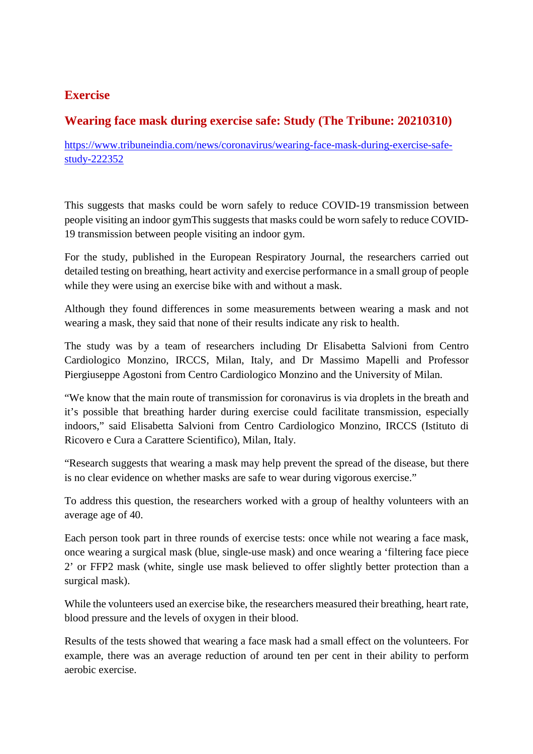#### **Exercise**

#### **Wearing face mask during exercise safe: Study (The Tribune: 20210310)**

https://www.tribuneindia.com/news/coronavirus/wearing-face-mask-during-exercise-safestudy-222352

This suggests that masks could be worn safely to reduce COVID-19 transmission between people visiting an indoor gymThis suggests that masks could be worn safely to reduce COVID-19 transmission between people visiting an indoor gym.

For the study, published in the European Respiratory Journal, the researchers carried out detailed testing on breathing, heart activity and exercise performance in a small group of people while they were using an exercise bike with and without a mask.

Although they found differences in some measurements between wearing a mask and not wearing a mask, they said that none of their results indicate any risk to health.

The study was by a team of researchers including Dr Elisabetta Salvioni from Centro Cardiologico Monzino, IRCCS, Milan, Italy, and Dr Massimo Mapelli and Professor Piergiuseppe Agostoni from Centro Cardiologico Monzino and the University of Milan.

"We know that the main route of transmission for coronavirus is via droplets in the breath and it's possible that breathing harder during exercise could facilitate transmission, especially indoors," said Elisabetta Salvioni from Centro Cardiologico Monzino, IRCCS (Istituto di Ricovero e Cura a Carattere Scientifico), Milan, Italy.

"Research suggests that wearing a mask may help prevent the spread of the disease, but there is no clear evidence on whether masks are safe to wear during vigorous exercise."

To address this question, the researchers worked with a group of healthy volunteers with an average age of 40.

Each person took part in three rounds of exercise tests: once while not wearing a face mask, once wearing a surgical mask (blue, single-use mask) and once wearing a 'filtering face piece 2' or FFP2 mask (white, single use mask believed to offer slightly better protection than a surgical mask).

While the volunteers used an exercise bike, the researchers measured their breathing, heart rate, blood pressure and the levels of oxygen in their blood.

Results of the tests showed that wearing a face mask had a small effect on the volunteers. For example, there was an average reduction of around ten per cent in their ability to perform aerobic exercise.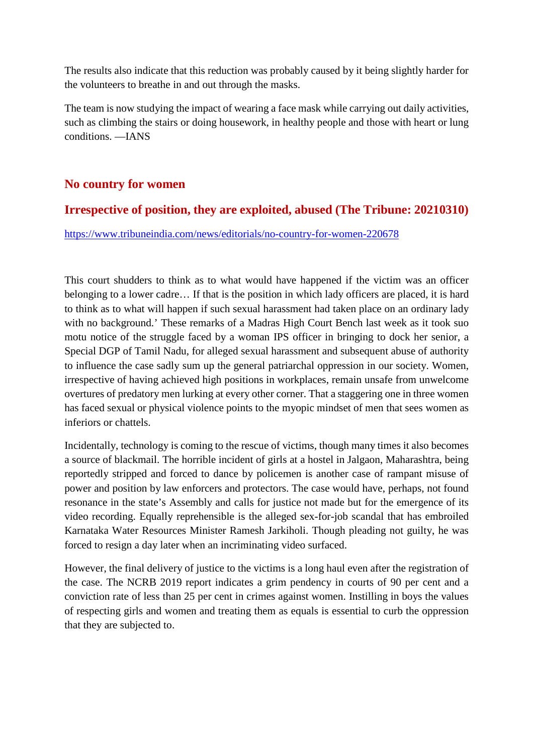The results also indicate that this reduction was probably caused by it being slightly harder for the volunteers to breathe in and out through the masks.

The team is now studying the impact of wearing a face mask while carrying out daily activities, such as climbing the stairs or doing housework, in healthy people and those with heart or lung conditions. —IANS

#### **No country for women**

#### **Irrespective of position, they are exploited, abused (The Tribune: 20210310)**

https://www.tribuneindia.com/news/editorials/no-country-for-women-220678

This court shudders to think as to what would have happened if the victim was an officer belonging to a lower cadre… If that is the position in which lady officers are placed, it is hard to think as to what will happen if such sexual harassment had taken place on an ordinary lady with no background.' These remarks of a Madras High Court Bench last week as it took suo motu notice of the struggle faced by a woman IPS officer in bringing to dock her senior, a Special DGP of Tamil Nadu, for alleged sexual harassment and subsequent abuse of authority to influence the case sadly sum up the general patriarchal oppression in our society. Women, irrespective of having achieved high positions in workplaces, remain unsafe from unwelcome overtures of predatory men lurking at every other corner. That a staggering one in three women has faced sexual or physical violence points to the myopic mindset of men that sees women as inferiors or chattels.

Incidentally, technology is coming to the rescue of victims, though many times it also becomes a source of blackmail. The horrible incident of girls at a hostel in Jalgaon, Maharashtra, being reportedly stripped and forced to dance by policemen is another case of rampant misuse of power and position by law enforcers and protectors. The case would have, perhaps, not found resonance in the state's Assembly and calls for justice not made but for the emergence of its video recording. Equally reprehensible is the alleged sex-for-job scandal that has embroiled Karnataka Water Resources Minister Ramesh Jarkiholi. Though pleading not guilty, he was forced to resign a day later when an incriminating video surfaced.

However, the final delivery of justice to the victims is a long haul even after the registration of the case. The NCRB 2019 report indicates a grim pendency in courts of 90 per cent and a conviction rate of less than 25 per cent in crimes against women. Instilling in boys the values of respecting girls and women and treating them as equals is essential to curb the oppression that they are subjected to.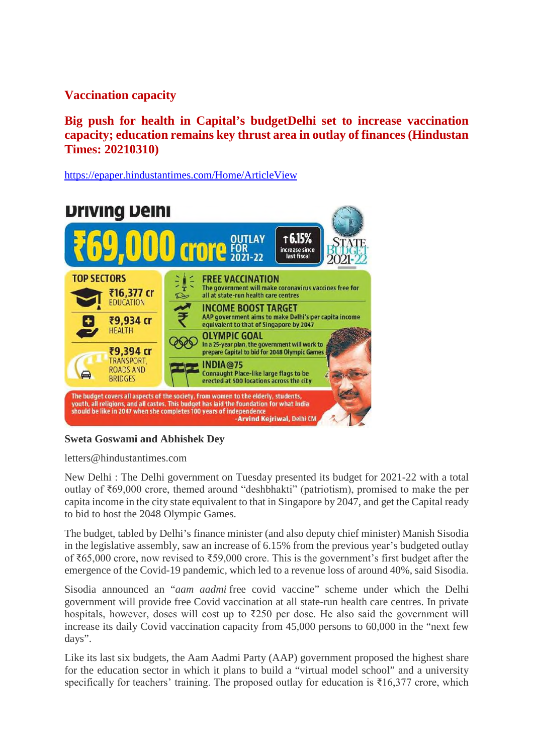#### **Vaccination capacity**

**Big push for health in Capital's budgetDelhi set to increase vaccination capacity; education remains key thrust area in outlay of finances (Hindustan Times: 20210310)**

https://epaper.hindustantimes.com/Home/ArticleView



#### **Sweta Goswami and Abhishek Dey**

letters@hindustantimes.com

New Delhi : The Delhi government on Tuesday presented its budget for 2021-22 with a total outlay of ₹69,000 crore, themed around "deshbhakti" (patriotism), promised to make the per capita income in the city state equivalent to that in Singapore by 2047, and get the Capital ready to bid to host the 2048 Olympic Games.

The budget, tabled by Delhi's finance minister (and also deputy chief minister) Manish Sisodia in the legislative assembly, saw an increase of 6.15% from the previous year's budgeted outlay of ₹65,000 crore, now revised to ₹59,000 crore. This is the government's first budget after the emergence of the Covid-19 pandemic, which led to a revenue loss of around 40%, said Sisodia.

Sisodia announced an "*aam aadmi* free covid vaccine" scheme under which the Delhi government will provide free Covid vaccination at all state-run health care centres. In private hospitals, however, doses will cost up to ₹250 per dose. He also said the government will increase its daily Covid vaccination capacity from 45,000 persons to 60,000 in the "next few days".

Like its last six budgets, the Aam Aadmi Party (AAP) government proposed the highest share for the education sector in which it plans to build a "virtual model school" and a university specifically for teachers' training. The proposed outlay for education is  $\bar{\xi}$ 16,377 crore, which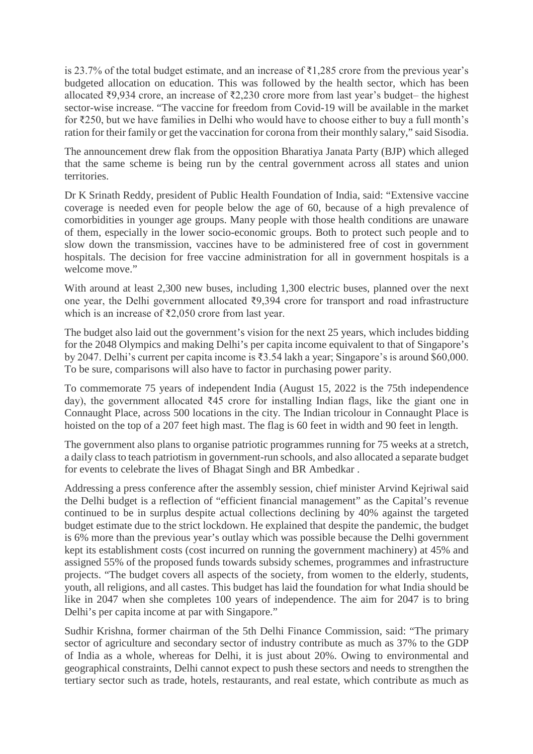is 23.7% of the total budget estimate, and an increase of ₹1,285 crore from the previous year's budgeted allocation on education. This was followed by the health sector, which has been allocated ₹9,934 crore, an increase of ₹2,230 crore more from last year's budget– the highest sector-wise increase. "The vaccine for freedom from Covid-19 will be available in the market for ₹250, but we have families in Delhi who would have to choose either to buy a full month's ration for their family or get the vaccination for corona from their monthly salary," said Sisodia.

The announcement drew flak from the opposition Bharatiya Janata Party (BJP) which alleged that the same scheme is being run by the central government across all states and union territories.

Dr K Srinath Reddy, president of Public Health Foundation of India, said: "Extensive vaccine coverage is needed even for people below the age of 60, because of a high prevalence of comorbidities in younger age groups. Many people with those health conditions are unaware of them, especially in the lower socio-economic groups. Both to protect such people and to slow down the transmission, vaccines have to be administered free of cost in government hospitals. The decision for free vaccine administration for all in government hospitals is a welcome move."

With around at least 2,300 new buses, including 1,300 electric buses, planned over the next one year, the Delhi government allocated ₹9,394 crore for transport and road infrastructure which is an increase of ₹2,050 crore from last year.

The budget also laid out the government's vision for the next 25 years, which includes bidding for the 2048 Olympics and making Delhi's per capita income equivalent to that of Singapore's by 2047. Delhi's current per capita income is ₹3.54 lakh a year; Singapore's is around \$60,000. To be sure, comparisons will also have to factor in purchasing power parity.

To commemorate 75 years of independent India (August 15, 2022 is the 75th independence day), the government allocated ₹45 crore for installing Indian flags, like the giant one in Connaught Place, across 500 locations in the city. The Indian tricolour in Connaught Place is hoisted on the top of a 207 feet high mast. The flag is 60 feet in width and 90 feet in length.

The government also plans to organise patriotic programmes running for 75 weeks at a stretch, a daily class to teach patriotism in government-run schools, and also allocated a separate budget for events to celebrate the lives of Bhagat Singh and BR Ambedkar .

Addressing a press conference after the assembly session, chief minister Arvind Kejriwal said the Delhi budget is a reflection of "efficient financial management" as the Capital's revenue continued to be in surplus despite actual collections declining by 40% against the targeted budget estimate due to the strict lockdown. He explained that despite the pandemic, the budget is 6% more than the previous year's outlay which was possible because the Delhi government kept its establishment costs (cost incurred on running the government machinery) at 45% and assigned 55% of the proposed funds towards subsidy schemes, programmes and infrastructure projects. "The budget covers all aspects of the society, from women to the elderly, students, youth, all religions, and all castes. This budget has laid the foundation for what India should be like in 2047 when she completes 100 years of independence. The aim for 2047 is to bring Delhi's per capita income at par with Singapore."

Sudhir Krishna, former chairman of the 5th Delhi Finance Commission, said: "The primary sector of agriculture and secondary sector of industry contribute as much as 37% to the GDP of India as a whole, whereas for Delhi, it is just about 20%. Owing to environmental and geographical constraints, Delhi cannot expect to push these sectors and needs to strengthen the tertiary sector such as trade, hotels, restaurants, and real estate, which contribute as much as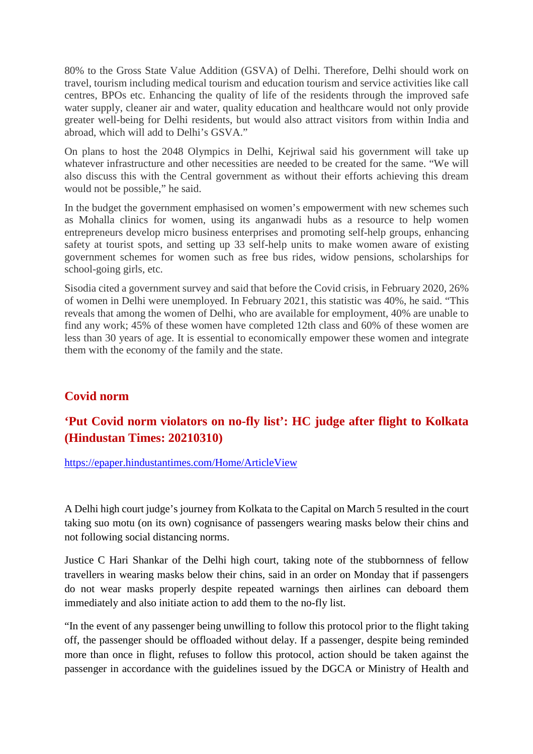80% to the Gross State Value Addition (GSVA) of Delhi. Therefore, Delhi should work on travel, tourism including medical tourism and education tourism and service activities like call centres, BPOs etc. Enhancing the quality of life of the residents through the improved safe water supply, cleaner air and water, quality education and healthcare would not only provide greater well-being for Delhi residents, but would also attract visitors from within India and abroad, which will add to Delhi's GSVA."

On plans to host the 2048 Olympics in Delhi, Kejriwal said his government will take up whatever infrastructure and other necessities are needed to be created for the same. "We will also discuss this with the Central government as without their efforts achieving this dream would not be possible," he said.

In the budget the government emphasised on women's empowerment with new schemes such as Mohalla clinics for women, using its anganwadi hubs as a resource to help women entrepreneurs develop micro business enterprises and promoting self-help groups, enhancing safety at tourist spots, and setting up 33 self-help units to make women aware of existing government schemes for women such as free bus rides, widow pensions, scholarships for school-going girls, etc.

Sisodia cited a government survey and said that before the Covid crisis, in February 2020, 26% of women in Delhi were unemployed. In February 2021, this statistic was 40%, he said. "This reveals that among the women of Delhi, who are available for employment, 40% are unable to find any work; 45% of these women have completed 12th class and 60% of these women are less than 30 years of age. It is essential to economically empower these women and integrate them with the economy of the family and the state.

#### **Covid norm**

#### **'Put Covid norm violators on no-fly list': HC judge after flight to Kolkata (Hindustan Times: 20210310)**

https://epaper.hindustantimes.com/Home/ArticleView

A Delhi high court judge's journey from Kolkata to the Capital on March 5 resulted in the court taking suo motu (on its own) cognisance of passengers wearing masks below their chins and not following social distancing norms.

Justice C Hari Shankar of the Delhi high court, taking note of the stubbornness of fellow travellers in wearing masks below their chins, said in an order on Monday that if passengers do not wear masks properly despite repeated warnings then airlines can deboard them immediately and also initiate action to add them to the no-fly list.

"In the event of any passenger being unwilling to follow this protocol prior to the flight taking off, the passenger should be offloaded without delay. If a passenger, despite being reminded more than once in flight, refuses to follow this protocol, action should be taken against the passenger in accordance with the guidelines issued by the DGCA or Ministry of Health and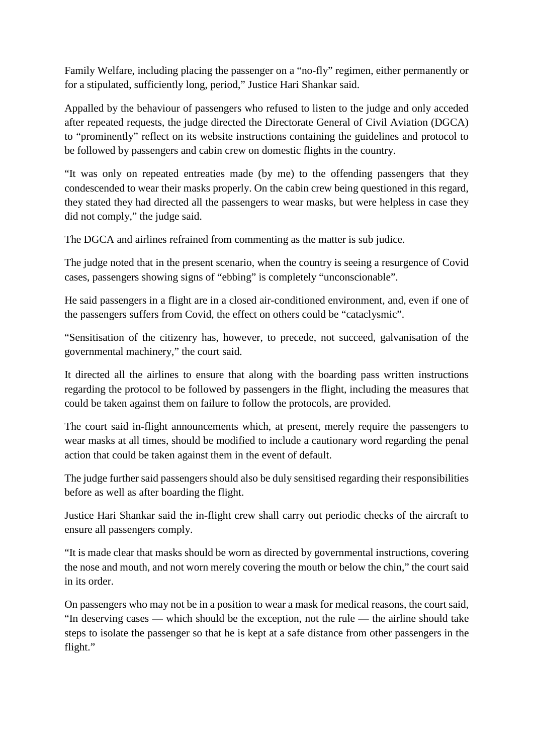Family Welfare, including placing the passenger on a "no-fly" regimen, either permanently or for a stipulated, sufficiently long, period," Justice Hari Shankar said.

Appalled by the behaviour of passengers who refused to listen to the judge and only acceded after repeated requests, the judge directed the Directorate General of Civil Aviation (DGCA) to "prominently" reflect on its website instructions containing the guidelines and protocol to be followed by passengers and cabin crew on domestic flights in the country.

"It was only on repeated entreaties made (by me) to the offending passengers that they condescended to wear their masks properly. On the cabin crew being questioned in this regard, they stated they had directed all the passengers to wear masks, but were helpless in case they did not comply," the judge said.

The DGCA and airlines refrained from commenting as the matter is sub judice.

The judge noted that in the present scenario, when the country is seeing a resurgence of Covid cases, passengers showing signs of "ebbing" is completely "unconscionable".

He said passengers in a flight are in a closed air-conditioned environment, and, even if one of the passengers suffers from Covid, the effect on others could be "cataclysmic".

"Sensitisation of the citizenry has, however, to precede, not succeed, galvanisation of the governmental machinery," the court said.

It directed all the airlines to ensure that along with the boarding pass written instructions regarding the protocol to be followed by passengers in the flight, including the measures that could be taken against them on failure to follow the protocols, are provided.

The court said in-flight announcements which, at present, merely require the passengers to wear masks at all times, should be modified to include a cautionary word regarding the penal action that could be taken against them in the event of default.

The judge further said passengers should also be duly sensitised regarding their responsibilities before as well as after boarding the flight.

Justice Hari Shankar said the in-flight crew shall carry out periodic checks of the aircraft to ensure all passengers comply.

"It is made clear that masks should be worn as directed by governmental instructions, covering the nose and mouth, and not worn merely covering the mouth or below the chin," the court said in its order.

On passengers who may not be in a position to wear a mask for medical reasons, the court said, "In deserving cases — which should be the exception, not the rule — the airline should take steps to isolate the passenger so that he is kept at a safe distance from other passengers in the flight."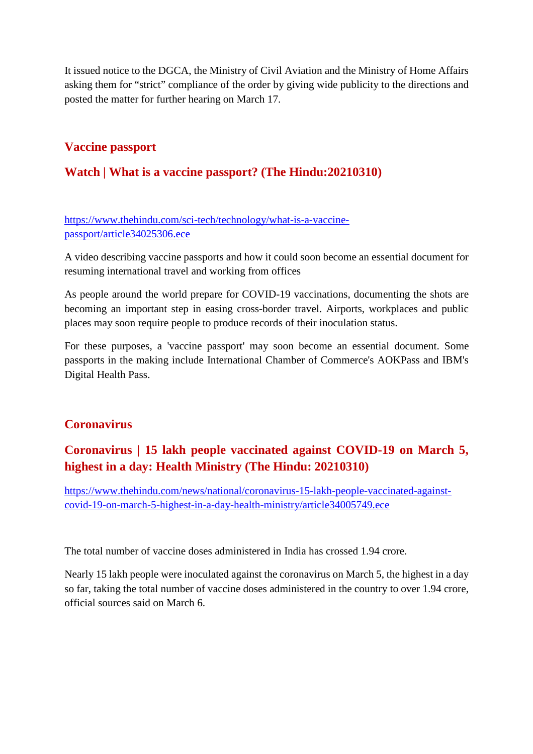It issued notice to the DGCA, the Ministry of Civil Aviation and the Ministry of Home Affairs asking them for "strict" compliance of the order by giving wide publicity to the directions and posted the matter for further hearing on March 17.

#### **Vaccine passport**

#### **Watch | What is a vaccine passport? (The Hindu:20210310)**

#### https://www.thehindu.com/sci-tech/technology/what-is-a-vaccinepassport/article34025306.ece

A video describing vaccine passports and how it could soon become an essential document for resuming international travel and working from offices

As people around the world prepare for COVID-19 vaccinations, documenting the shots are becoming an important step in easing cross-border travel. Airports, workplaces and public places may soon require people to produce records of their inoculation status.

For these purposes, a 'vaccine passport' may soon become an essential document. Some passports in the making include International Chamber of Commerce's AOKPass and IBM's Digital Health Pass.

#### **Coronavirus**

### **Coronavirus | 15 lakh people vaccinated against COVID-19 on March 5, highest in a day: Health Ministry (The Hindu: 20210310)**

https://www.thehindu.com/news/national/coronavirus-15-lakh-people-vaccinated-againstcovid-19-on-march-5-highest-in-a-day-health-ministry/article34005749.ece

The total number of vaccine doses administered in India has crossed 1.94 crore.

Nearly 15 lakh people were inoculated against the coronavirus on March 5, the highest in a day so far, taking the total number of vaccine doses administered in the country to over 1.94 crore, official sources said on March 6.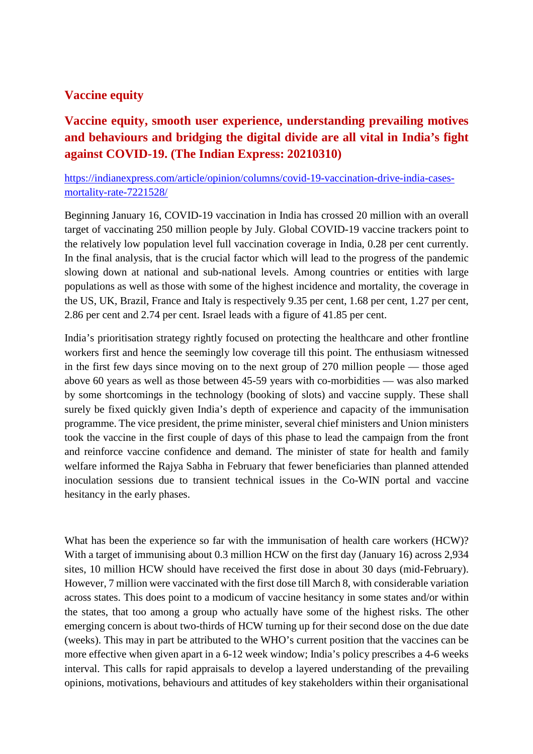#### **Vaccine equity**

### **Vaccine equity, smooth user experience, understanding prevailing motives and behaviours and bridging the digital divide are all vital in India's fight against COVID-19. (The Indian Express: 20210310)**

https://indianexpress.com/article/opinion/columns/covid-19-vaccination-drive-india-casesmortality-rate-7221528/

Beginning January 16, COVID-19 vaccination in India has crossed 20 million with an overall target of vaccinating 250 million people by July. Global COVID-19 vaccine trackers point to the relatively low population level full vaccination coverage in India, 0.28 per cent currently. In the final analysis, that is the crucial factor which will lead to the progress of the pandemic slowing down at national and sub-national levels. Among countries or entities with large populations as well as those with some of the highest incidence and mortality, the coverage in the US, UK, Brazil, France and Italy is respectively 9.35 per cent, 1.68 per cent, 1.27 per cent, 2.86 per cent and 2.74 per cent. Israel leads with a figure of 41.85 per cent.

India's prioritisation strategy rightly focused on protecting the healthcare and other frontline workers first and hence the seemingly low coverage till this point. The enthusiasm witnessed in the first few days since moving on to the next group of 270 million people — those aged above 60 years as well as those between 45-59 years with co-morbidities — was also marked by some shortcomings in the technology (booking of slots) and vaccine supply. These shall surely be fixed quickly given India's depth of experience and capacity of the immunisation programme. The vice president, the prime minister, several chief ministers and Union ministers took the vaccine in the first couple of days of this phase to lead the campaign from the front and reinforce vaccine confidence and demand. The minister of state for health and family welfare informed the Rajya Sabha in February that fewer beneficiaries than planned attended inoculation sessions due to transient technical issues in the Co-WIN portal and vaccine hesitancy in the early phases.

What has been the experience so far with the immunisation of health care workers (HCW)? With a target of immunising about 0.3 million HCW on the first day (January 16) across 2,934 sites, 10 million HCW should have received the first dose in about 30 days (mid-February). However, 7 million were vaccinated with the first dose till March 8, with considerable variation across states. This does point to a modicum of vaccine hesitancy in some states and/or within the states, that too among a group who actually have some of the highest risks. The other emerging concern is about two-thirds of HCW turning up for their second dose on the due date (weeks). This may in part be attributed to the WHO's current position that the vaccines can be more effective when given apart in a 6-12 week window; India's policy prescribes a 4-6 weeks interval. This calls for rapid appraisals to develop a layered understanding of the prevailing opinions, motivations, behaviours and attitudes of key stakeholders within their organisational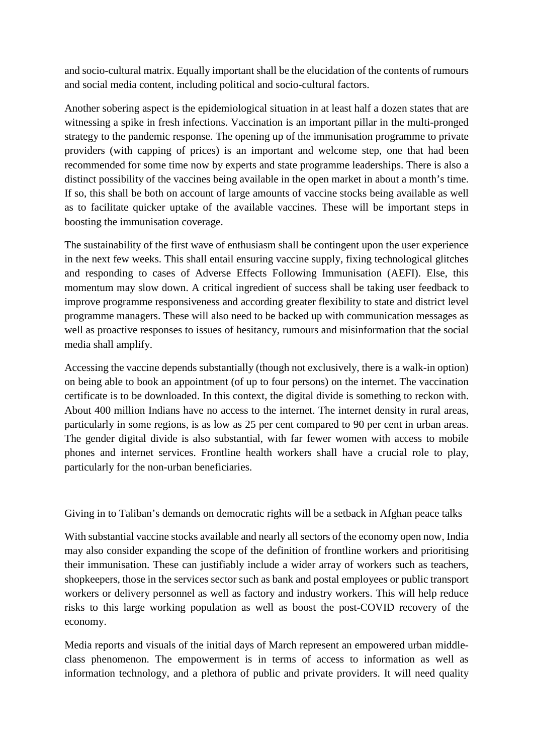and socio-cultural matrix. Equally important shall be the elucidation of the contents of rumours and social media content, including political and socio-cultural factors.

Another sobering aspect is the epidemiological situation in at least half a dozen states that are witnessing a spike in fresh infections. Vaccination is an important pillar in the multi-pronged strategy to the pandemic response. The opening up of the immunisation programme to private providers (with capping of prices) is an important and welcome step, one that had been recommended for some time now by experts and state programme leaderships. There is also a distinct possibility of the vaccines being available in the open market in about a month's time. If so, this shall be both on account of large amounts of vaccine stocks being available as well as to facilitate quicker uptake of the available vaccines. These will be important steps in boosting the immunisation coverage.

The sustainability of the first wave of enthusiasm shall be contingent upon the user experience in the next few weeks. This shall entail ensuring vaccine supply, fixing technological glitches and responding to cases of Adverse Effects Following Immunisation (AEFI). Else, this momentum may slow down. A critical ingredient of success shall be taking user feedback to improve programme responsiveness and according greater flexibility to state and district level programme managers. These will also need to be backed up with communication messages as well as proactive responses to issues of hesitancy, rumours and misinformation that the social media shall amplify.

Accessing the vaccine depends substantially (though not exclusively, there is a walk-in option) on being able to book an appointment (of up to four persons) on the internet. The vaccination certificate is to be downloaded. In this context, the digital divide is something to reckon with. About 400 million Indians have no access to the internet. The internet density in rural areas, particularly in some regions, is as low as 25 per cent compared to 90 per cent in urban areas. The gender digital divide is also substantial, with far fewer women with access to mobile phones and internet services. Frontline health workers shall have a crucial role to play, particularly for the non-urban beneficiaries.

Giving in to Taliban's demands on democratic rights will be a setback in Afghan peace talks

With substantial vaccine stocks available and nearly all sectors of the economy open now, India may also consider expanding the scope of the definition of frontline workers and prioritising their immunisation. These can justifiably include a wider array of workers such as teachers, shopkeepers, those in the services sector such as bank and postal employees or public transport workers or delivery personnel as well as factory and industry workers. This will help reduce risks to this large working population as well as boost the post-COVID recovery of the economy.

Media reports and visuals of the initial days of March represent an empowered urban middleclass phenomenon. The empowerment is in terms of access to information as well as information technology, and a plethora of public and private providers. It will need quality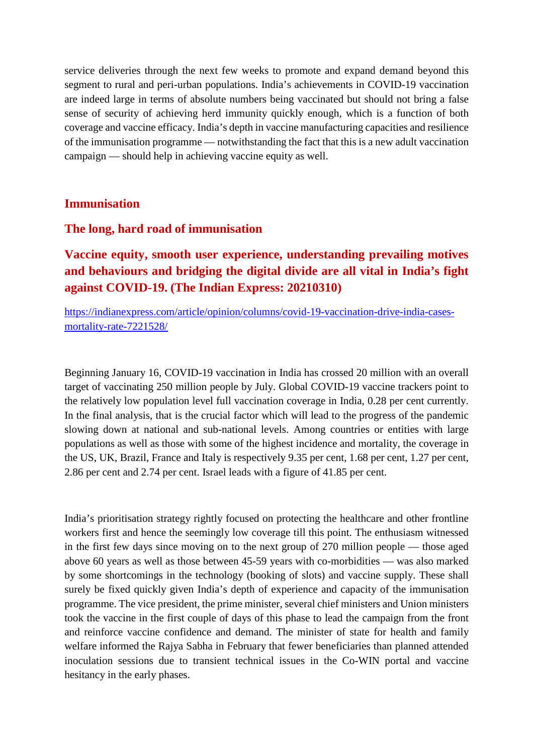service deliveries through the next few weeks to promote and expand demand beyond this segment to rural and peri-urban populations. India's achievements in COVID-19 vaccination are indeed large in terms of absolute numbers being vaccinated but should not bring a false sense of security of achieving herd immunity quickly enough, which is a function of both coverage and vaccine efficacy. India's depth in vaccine manufacturing capacities and resilience of the immunisation programme — notwithstanding the fact that this is a new adult vaccination campaign — should help in achieving vaccine equity as well.

#### **Immunisation**

#### **The long, hard road of immunisation**

**Vaccine equity, smooth user experience, understanding prevailing motives and behaviours and bridging the digital divide are all vital in India's fight against COVID-19. (The Indian Express: 20210310)**

https://indianexpress.com/article/opinion/columns/covid-19-vaccination-drive-india-casesmortality-rate-7221528/

Beginning January 16, COVID-19 vaccination in India has crossed 20 million with an overall target of vaccinating 250 million people by July. Global COVID-19 vaccine trackers point to the relatively low population level full vaccination coverage in India, 0.28 per cent currently. In the final analysis, that is the crucial factor which will lead to the progress of the pandemic slowing down at national and sub-national levels. Among countries or entities with large populations as well as those with some of the highest incidence and mortality, the coverage in the US, UK, Brazil, France and Italy is respectively 9.35 per cent, 1.68 per cent, 1.27 per cent, 2.86 per cent and 2.74 per cent. Israel leads with a figure of 41.85 per cent.

India's prioritisation strategy rightly focused on protecting the healthcare and other frontline workers first and hence the seemingly low coverage till this point. The enthusiasm witnessed in the first few days since moving on to the next group of 270 million people — those aged above 60 years as well as those between 45-59 years with co-morbidities — was also marked by some shortcomings in the technology (booking of slots) and vaccine supply. These shall surely be fixed quickly given India's depth of experience and capacity of the immunisation programme. The vice president, the prime minister, several chief ministers and Union ministers took the vaccine in the first couple of days of this phase to lead the campaign from the front and reinforce vaccine confidence and demand. The minister of state for health and family welfare informed the Rajya Sabha in February that fewer beneficiaries than planned attended inoculation sessions due to transient technical issues in the Co-WIN portal and vaccine hesitancy in the early phases.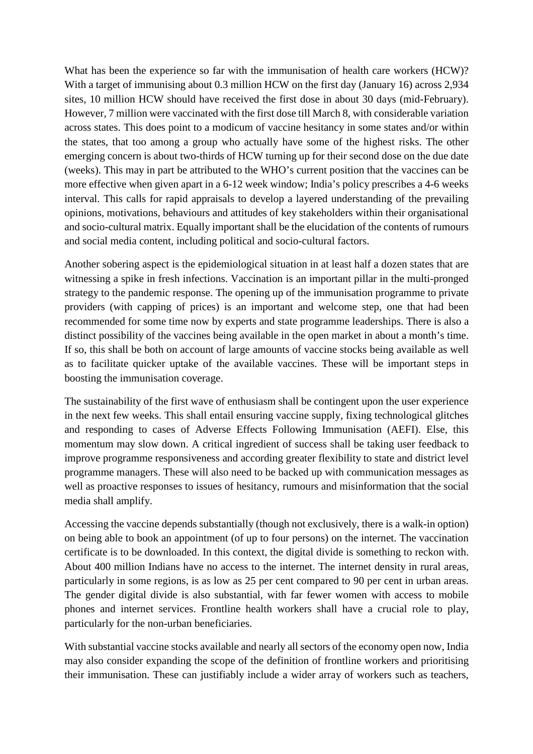What has been the experience so far with the immunisation of health care workers (HCW)? With a target of immunising about 0.3 million HCW on the first day (January 16) across 2,934 sites, 10 million HCW should have received the first dose in about 30 days (mid-February). However, 7 million were vaccinated with the first dose till March 8, with considerable variation across states. This does point to a modicum of vaccine hesitancy in some states and/or within the states, that too among a group who actually have some of the highest risks. The other emerging concern is about two-thirds of HCW turning up for their second dose on the due date (weeks). This may in part be attributed to the WHO's current position that the vaccines can be more effective when given apart in a 6-12 week window; India's policy prescribes a 4-6 weeks interval. This calls for rapid appraisals to develop a layered understanding of the prevailing opinions, motivations, behaviours and attitudes of key stakeholders within their organisational and socio-cultural matrix. Equally important shall be the elucidation of the contents of rumours and social media content, including political and socio-cultural factors.

Another sobering aspect is the epidemiological situation in at least half a dozen states that are witnessing a spike in fresh infections. Vaccination is an important pillar in the multi-pronged strategy to the pandemic response. The opening up of the immunisation programme to private providers (with capping of prices) is an important and welcome step, one that had been recommended for some time now by experts and state programme leaderships. There is also a distinct possibility of the vaccines being available in the open market in about a month's time. If so, this shall be both on account of large amounts of vaccine stocks being available as well as to facilitate quicker uptake of the available vaccines. These will be important steps in boosting the immunisation coverage.

The sustainability of the first wave of enthusiasm shall be contingent upon the user experience in the next few weeks. This shall entail ensuring vaccine supply, fixing technological glitches and responding to cases of Adverse Effects Following Immunisation (AEFI). Else, this momentum may slow down. A critical ingredient of success shall be taking user feedback to improve programme responsiveness and according greater flexibility to state and district level programme managers. These will also need to be backed up with communication messages as well as proactive responses to issues of hesitancy, rumours and misinformation that the social media shall amplify.

Accessing the vaccine depends substantially (though not exclusively, there is a walk-in option) on being able to book an appointment (of up to four persons) on the internet. The vaccination certificate is to be downloaded. In this context, the digital divide is something to reckon with. About 400 million Indians have no access to the internet. The internet density in rural areas, particularly in some regions, is as low as 25 per cent compared to 90 per cent in urban areas. The gender digital divide is also substantial, with far fewer women with access to mobile phones and internet services. Frontline health workers shall have a crucial role to play, particularly for the non-urban beneficiaries.

With substantial vaccine stocks available and nearly all sectors of the economy open now, India may also consider expanding the scope of the definition of frontline workers and prioritising their immunisation. These can justifiably include a wider array of workers such as teachers,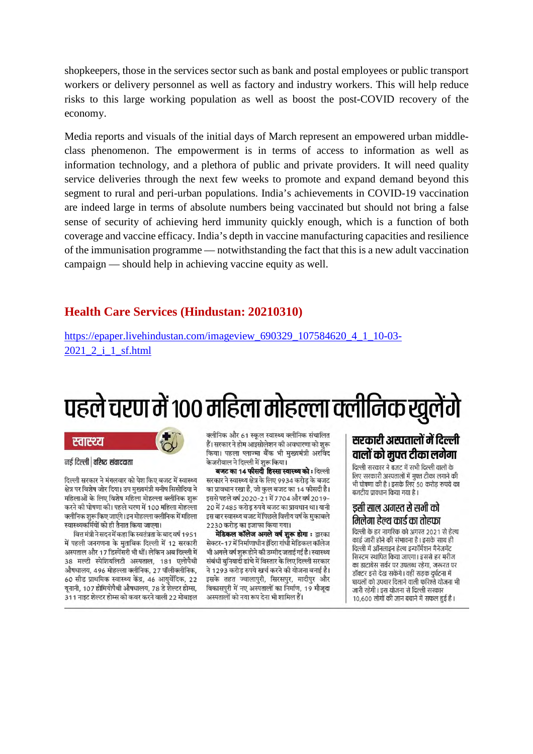shopkeepers, those in the services sector such as bank and postal employees or public transport workers or delivery personnel as well as factory and industry workers. This will help reduce risks to this large working population as well as boost the post-COVID recovery of the economy.

Media reports and visuals of the initial days of March represent an empowered urban middleclass phenomenon. The empowerment is in terms of access to information as well as information technology, and a plethora of public and private providers. It will need quality service deliveries through the next few weeks to promote and expand demand beyond this segment to rural and peri-urban populations. India's achievements in COVID-19 vaccination are indeed large in terms of absolute numbers being vaccinated but should not bring a false sense of security of achieving herd immunity quickly enough, which is a function of both coverage and vaccine efficacy. India's depth in vaccine manufacturing capacities and resilience of the immunisation programme — notwithstanding the fact that this is a new adult vaccination campaign — should help in achieving vaccine equity as well.

#### **Health Care Services (Hindustan: 20210310)**

https://epaper.livehindustan.com/imageview\_690329\_107584620\_4\_1\_10-03- 2021 2 i 1 sf.html

# पहले चरण में १०० महिला मोहल्ला क्लीनिक खुलेंगे



#### नई दिल्ली | वरिष्ट संवाददाता

दिल्ली सरकार ने मंगलवार को पेश किए बजट में स्वास्थ्य क्षेत्र पर विशेष जोर दिया। उप मख्यमंत्री मनीष सिसोदिया ने महिलाओं के लिए विशेष महिला मोहल्ला क्लीनिक शरू करने की घोषणा की। पहले चरण में 100 महिला मोहल्ला क्लीनिक शरू किए जाएंगे। इन मोहल्ला क्लीनिक में महिला स्वास्थ्यकर्मियों को ही तैनात किया जाएगा।

वित्त मंत्री ने सदन में कहा कि स्वतंत्रता के बाद वर्ष 1951 में पहली जनगणना के मुताबिक दिल्ली में 12 सरकारी अस्पताल और 17 डिस्पेंसरी भी थीं। लेकिन अब दिल्ली में 38 मल्टी स्पेशियलिटी अस्पताल, 181 एलोपैथी औषधालय, 496 मोहल्ला क्लीनिक, 27 पॉलीक्लीनिक, 60 सीड प्राथमिक स्वास्थ्य केंद्र, 46 आयुर्वेदिक, 22 यनानी, 107 होमियोपैथी औषधालय, 78 डे शेल्टर होम्स, 311 नाइट शेल्टर होम्स को कवर करने वाली 22 मोबाइल

क्लीनिक और 61 स्कूल स्वास्थ्य क्लीनिक संचालित हैं। सरकार ने होम आइसोलेशन की अवधारणा को शरू किया। पहला प्लाज्मा बैंक भी मख्यमंत्री अरविंद .<br>केजरीवाल ने दिल्ली में शुरू किया।

बजट का 14 फीसदी हिस्सा स्वास्थ्य को : दिल्ली सरकार ने स्वास्थ्य क्षेत्र के लिए 9934 करोड के बजट का प्रावधान रखा है, जो कुल बजट का 14 फीसदी है। इससे पहले वर्ष 2020-21 में 7704 और वर्ष 2019-20 में 7485 करोड़ रुपये बजट का प्रावधान था। यानी इस बार स्वास्थ्य बजट में पिछले वित्तीय वर्ष के मकाबले 2230 करोड़ का इजाफा किया गया।

मेडिकल कॉलेज अगले वर्ष शुरू होगा : द्वारका सेक्टर- 17 में निर्माणाधीन इंदिरा गांधी मेडिकल कॉलेज भी अगले वर्ष शुरू होने की उम्मीद जताई गई है। स्वास्थ्य संबंधी बनियादी ढांचे में विस्तार के लिए दिल्ली सरकार ने 1293 करोड़ रुपये खर्च करने की योजना बनाई है। इसके तहत ज्वालापुरी, सिरसपुर, मादीपुर और विकासपुरी में नए अस्पतालों का निर्माण, 19 मौजूदा अस्पतालों को नया रूप देना भी शामिल हैं।

#### सरकारी अस्पतालों में दिल्ली वालों को मुफ्त टीका लगेगा

|<br>दिल्ली सरकार ने बजट में सभी दिल्ली वालों के लिए सरकारी अस्पतालों में मुफ्त टीका लगाने की १९१९ सरकारी अस्वताला न नुपरा टाका रानान का<br>भी घोषणा की है । इसके लिए 50 करोड़ रुपये का बजटीय प्रावधान किया गया है।

#### डसी साल अगस्त से सभी को मिलेगा हेल्थ कार्ड का तोहफा

दिल्ली के हर नागरिक को अगस्त 2021 से हेल्थ कार्ड जारी होने की संभावना है। इसके साथ ही दिल्ली में ऑनलाइन हेल्थ इन्फॉर्मेशन मैनेजमेंट सिस्टम स्थापित किया जाएगा। इससे हर मरीज का डाटाबेस सर्वर पर उपलब्ध रहेगा, जरूरत पर डॉक्टर इसे देख सकेंगे। वहीं सड़क दुर्घटना में घायलों को उपचार दिलाने वाली फरिश्ते योजना भी जारी रहेगी। इस योजना से दिल्ली सरकार 10,600 लोगों की जान बचाने में सफल हुई है।